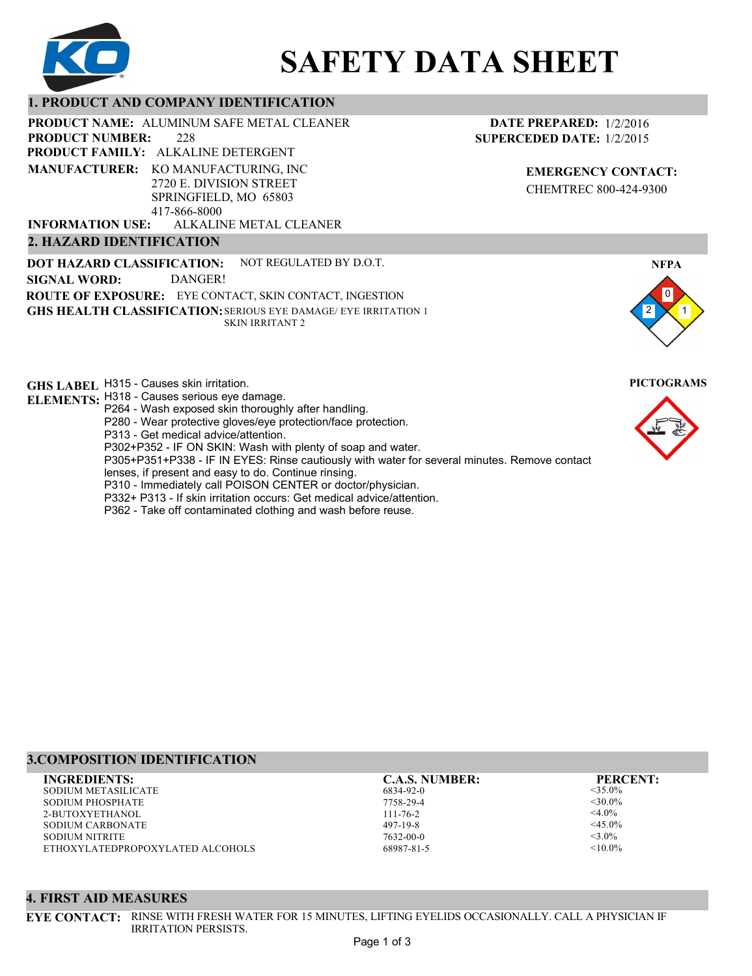

# **SAFETY DATA SHEET**

## **1. PRODUCT AND COMPANY IDENTIFICATION**

228 PRODUCT NAME: ALUMINUM SAFE METAL CLEANER **PRODUCT FAMILY: ALKALINE DETERGENT** ALKALINE METAL CLEANER **PRODUCT NUMBER: MANUFACTURER:** KO MANUFACTURING, INC 2720 E. DIVISION STREET SPRINGFIELD, MO 65803 417-866-8000 **INFORMATION USE:**

## **2. HAZARD IDENTIFICATION**

**DOT HAZARD CLASSIFICATION: GHS HEALTH CLASSIFICATION:** SERIOUS EYE DAMAGE/ EYE IRRITATION 1 **ROUTE OF EXPOSURE:** EYE CONTACT, SKIN CONTACT, INGESTION NOT REGULATED BY D.O.T. SKIN IRRITANT 2 **SIGNAL WORD:** DANGER!

**GHS LABEL**  H315 - Causes skin irritation. **PICTOGRAMS**

**ELEMENTS:** H318 - Causes serious eye damage.

- P264 Wash exposed skin thoroughly after handling.
- P280 Wear protective gloves/eye protection/face protection.

P313 - Get medical advice/attention.

P302+P352 - IF ON SKIN: Wash with plenty of soap and water.

P305+P351+P338 - IF IN EYES: Rinse cautiously with water for several minutes. Remove contact

- lenses, if present and easy to do. Continue rinsing.
- P310 Immediately call POISON CENTER or doctor/physician.
- P332+ P313 If skin irritation occurs: Get medical advice/attention.
- P362 Take off contaminated clothing and wash before reuse.

## **3.COMPOSITION IDENTIFICATION**

SODIUM METASILICATE SODIUM PHOSPHATE 2-BUTOXYETHANOL SODIUM CARBONATE SODIUM NITRITE ETHOXYLATEDPROPOXYLATED ALCOHOLS **INGREDIENTS: C.A.S. NUMBER: PERCENT:**

6834-92-0 7758-29-4 111-76-2

497-19-8 7632-00-0 68987-81-5

<35.0%  $<$ 30.0% <4.0%  $<$ 45.0%  $<$ 3.0%  $< 10.0\%$ 

## **4. FIRST AID MEASURES**

**EYE CONTACT:** RINSE WITH FRESH WATER FOR 15 MINUTES, LIFTING EYELIDS OCCASIONALLY. CALL A PHYSICIAN IF IRRITATION PERSISTS.

**EMERGENCY CONTACT:** CHEMTREC 800-424-9300

**DATE PREPARED:** 1/2/2016 **SUPERCEDED DATE:** 1/2/2015



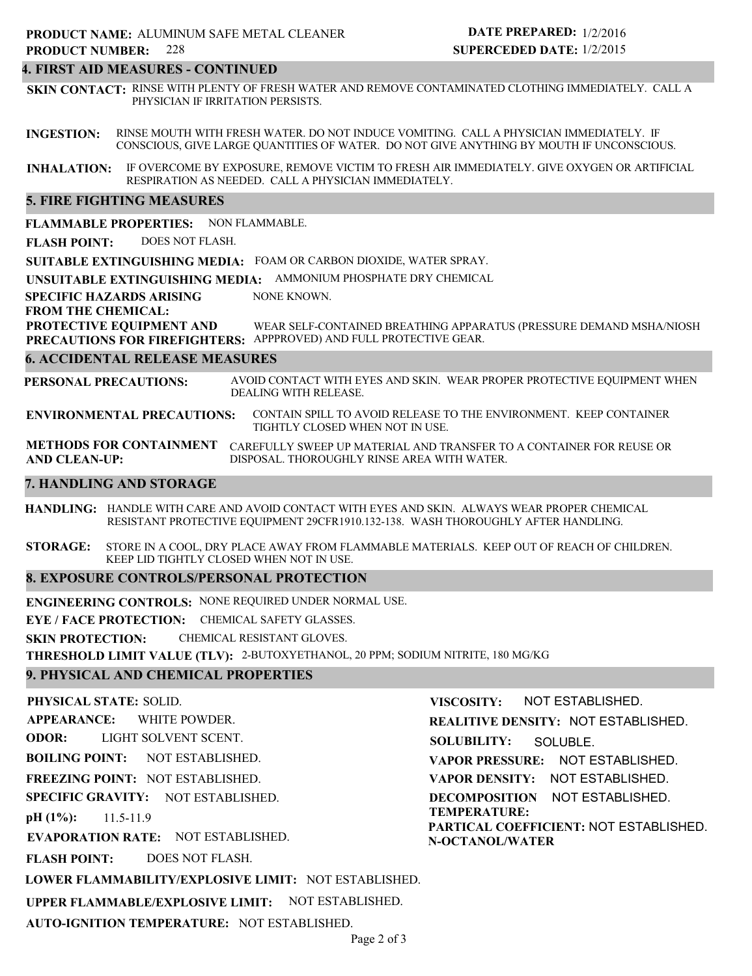## **4. FIRST AID MEASURES - CONTINUED**

**SKIN CONTACT:** RINSE WITH PLENTY OF FRESH WATER AND REMOVE CONTAMINATED CLOTHING IMMEDIATELY. CALL A PHYSICIAN IF IRRITATION PERSISTS.

**INGESTION:** RINSE MOUTH WITH FRESH WATER. DO NOT INDUCE VOMITING. CALL A PHYSICIAN IMMEDIATELY. IF CONSCIOUS, GIVE LARGE QUANTITIES OF WATER. DO NOT GIVE ANYTHING BY MOUTH IF UNCONSCIOUS.

**INHALATION:** IF OVERCOME BY EXPOSURE, REMOVE VICTIM TO FRESH AIR IMMEDIATELY. GIVE OXYGEN OR ARTIFICIAL RESPIRATION AS NEEDED. CALL A PHYSICIAN IMMEDIATELY.

## **5. FIRE FIGHTING MEASURES**

**FLAMMABLE PROPERTIES:** NON FLAMMABLE.

**FLASH POINT:** DOES NOT FLASH.

**SUITABLE EXTINGUISHING MEDIA:** FOAM OR CARBON DIOXIDE, WATER SPRAY.

**UNSUITABLE EXTINGUISHING MEDIA:** AMMONIUM PHOSPHATE DRY CHEMICAL

**SPECIFIC HAZARDS ARISING** NONE KNOWN.

**FROM THE CHEMICAL:**

**PROTECTIVE EQUIPMENT AND PRECAUTIONS FOR FIREFIGHTERS:** APPPROVED) AND FULL PROTECTIVE GEAR. WEAR SELF-CONTAINED BREATHING APPARATUS (PRESSURE DEMAND MSHA/NIOSH

## **6. ACCIDENTAL RELEASE MEASURES**

**PERSONAL PRECAUTIONS:** AVOID CONTACT WITH EYES AND SKIN. WEAR PROPER PROTECTIVE EQUIPMENT WHEN DEALING WITH RELEASE.

**ENVIRONMENTAL PRECAUTIONS:** CONTAIN SPILL TO AVOID RELEASE TO THE ENVIRONMENT. KEEP CONTAINER TIGHTLY CLOSED WHEN NOT IN USE.

**METHODS FOR CONTAINMENT** CAREFULLY SWEEP UP MATERIAL AND TRANSFER TO A CONTAINER FOR REUSE OR **AND CLEAN-UP:** DISPOSAL. THOROUGHLY RINSE AREA WITH WATER.

## **7. HANDLING AND STORAGE**

**HANDLING:** HANDLE WITH CARE AND AVOID CONTACT WITH EYES AND SKIN. ALWAYS WEAR PROPER CHEMICAL RESISTANT PROTECTIVE EQUIPMENT 29CFR1910.132-138. WASH THOROUGHLY AFTER HANDLING.

**STORAGE:** STORE IN A COOL, DRY PLACE AWAY FROM FLAMMABLE MATERIALS. KEEP OUT OF REACH OF CHILDREN. KEEP LID TIGHTLY CLOSED WHEN NOT IN USE.

## **8. EXPOSURE CONTROLS/PERSONAL PROTECTION**

**ENGINEERING CONTROLS:** NONE REQUIRED UNDER NORMAL USE.

**EYE / FACE PROTECTION:** CHEMICAL SAFETY GLASSES.

**SKIN PROTECTION:** CHEMICAL RESISTANT GLOVES.

**THRESHOLD LIMIT VALUE (TLV):** 2-BUTOXYETHANOL, 20 PPM; SODIUM NITRITE, 180 MG/KG

## **9. PHYSICAL AND CHEMICAL PROPERTIES**

**PHYSICAL STATE:** SOLID. **APPEARANCE: ODOR: BOILING POINT: FREEZING POINT:** NOT ESTABLISHED. **SPECIFIC GRAVITY:** NOT ESTABLISHED. **pH (1%): EVAPORATION RATE:** NOT ESTABLISHED. **FLASH POINT: LOWER FLAMMABILITY/EXPLOSIVE LIMIT:** NOT ESTABLISHED. NOT ESTABLISHED. 11.5-11.9 DOES NOT FLASH. WHITE POWDER. LIGHT SOLVENT SCENT. **VISCOSITY: REALITIVE DENSITY:** NOT ESTABLISHED. **SOLUBILITY: VAPOR PRESSURE:** NOT ESTABLISHED. **VAPOR DENSITY:** NOT ESTABLISHED. **DECOMPOSITION** NOT ESTABLISHED. **TEMPERATURE: PARTICAL COEFFICIENT:** NOT ESTABLISHED. **N-OCTANOL/WATER** NOT ESTABLISHED. SOLUBLE.

**UPPER FLAMMABLE/EXPLOSIVE LIMIT:** NOT ESTABLISHED.

**AUTO-IGNITION TEMPERATURE:** NOT ESTABLISHED.